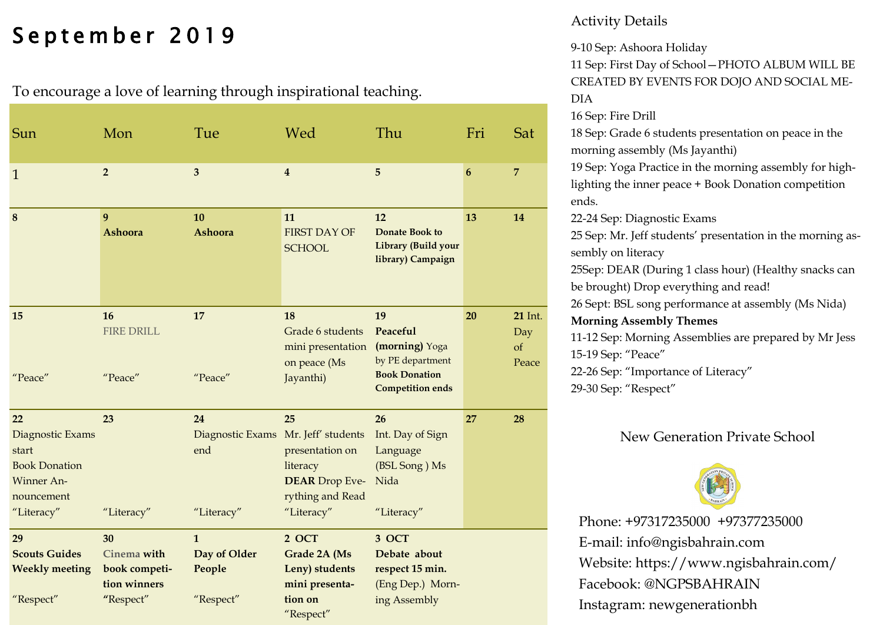# September 2019

To encourage a love of learning through inspirational teaching.

| Sun                                                                                               | Mon                                                             | Tue                                                            | Wed                                                                                          | Thu                                                                                                     | Fri              | Sat                                  |
|---------------------------------------------------------------------------------------------------|-----------------------------------------------------------------|----------------------------------------------------------------|----------------------------------------------------------------------------------------------|---------------------------------------------------------------------------------------------------------|------------------|--------------------------------------|
| $\mathbf{1}$                                                                                      | $\overline{2}$                                                  | $\overline{\mathbf{3}}$                                        | $\overline{\mathbf{4}}$                                                                      | 5                                                                                                       | $\boldsymbol{6}$ | $\overline{7}$                       |
| $\boldsymbol{8}$                                                                                  | 9<br><b>Ashoora</b>                                             | 10<br><b>Ashoora</b>                                           | 11<br><b>FIRST DAY OF</b><br><b>SCHOOL</b>                                                   | 12<br><b>Donate Book to</b><br>Library (Build your<br>library) Campaign                                 | 13               | 14                                   |
| 15<br>"Peace"                                                                                     | 16<br><b>FIRE DRILL</b><br>"Peace"                              | 17<br>"Peace"                                                  | 18<br>Grade 6 students<br>mini presentation<br>on peace (Ms<br>Jayanthi)                     | 19<br>Peaceful<br>(morning) Yoga<br>by PE department<br><b>Book Donation</b><br><b>Competition ends</b> | 20               | <b>21</b> Int.<br>Day<br>of<br>Peace |
| 22<br>Diagnostic Exams<br>start<br><b>Book Donation</b><br>Winner An-<br>nouncement<br>"Literacy" | 23<br>"Literacy"                                                | 24<br>Diagnostic Exams Mr. Jeff' students<br>end<br>"Literacy" | 25<br>presentation on<br>literacy<br><b>DEAR</b> Drop Eve-<br>rything and Read<br>"Literacy" | 26<br>Int. Day of Sign<br>Language<br>(BSL Song) Ms<br>Nida<br>"Literacy"                               | 27               | 28                                   |
| 29<br><b>Scouts Guides</b><br><b>Weekly meeting</b><br>"Respect"                                  | 30<br>Cinema with<br>book competi-<br>tion winners<br>"Respect" | $\mathbf{1}$<br>Day of Older<br>People<br>"Respect"            | 2 OCT<br>Grade 2A (Ms<br>Leny) students<br>mini presenta-<br>tion on<br>"Respect"            | 3 OCT<br>Debate about<br>respect 15 min.<br>(Eng Dep.) Morn-<br>ing Assembly                            |                  |                                      |

#### Activity Details

9-10 Sep: Ashoora Holiday

11 Sep: First Day of School—PHOTO ALBUM WILL BE CREATED BY EVENTS FOR DOJO AND SOCIAL ME-DIA 16 Sep: Fire Drill 18 Sep: Grade 6 students presentation on peace in the morning assembly (Ms Jayanthi) 19 Sep: Yoga Practice in the morning assembly for highlighting the inner peace + Book Donation competition ends. 22-24 Sep: Diagnostic Exams 25 Sep: Mr. Jeff students' presentation in the morning assembly on literacy 25Sep: DEAR (During 1 class hour) (Healthy snacks can be brought) Drop everything and read! 26 Sept: BSL song performance at assembly (Ms Nida) **Morning Assembly Themes** 11-12 Sep: Morning Assemblies are prepared by Mr Jess 15-19 Sep: "Peace" 22-26 Sep: "Importance of Literacy" 29-30 Sep: "Respect"

#### New Generation Private School

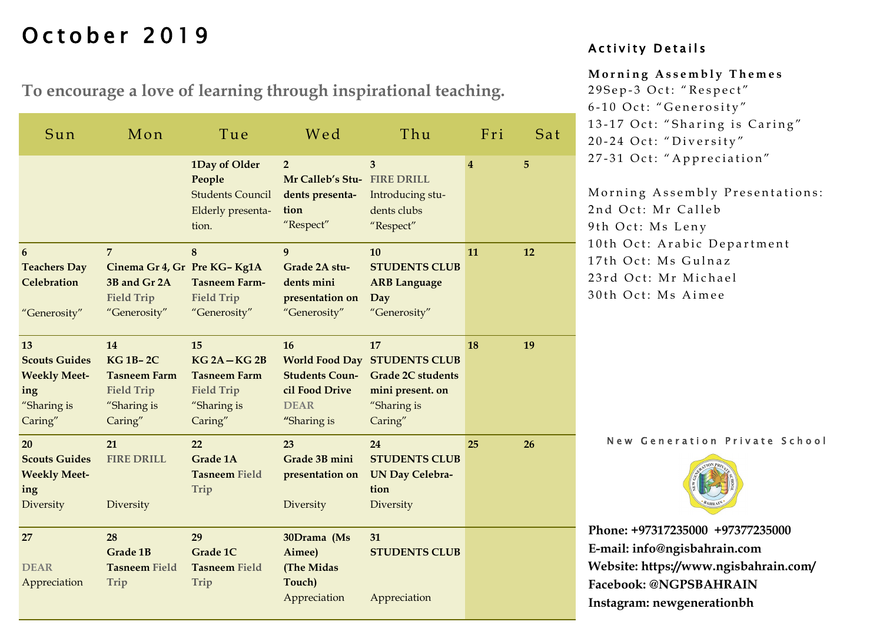# October 2019

**To encourage a love of learning through inspirational teaching.**

| Sun                                                                                | Mon                                                                                                | Tue                                                                                     | Wed                                                                                   | Thu                                                                                                                 | Fri | Sat |
|------------------------------------------------------------------------------------|----------------------------------------------------------------------------------------------------|-----------------------------------------------------------------------------------------|---------------------------------------------------------------------------------------|---------------------------------------------------------------------------------------------------------------------|-----|-----|
|                                                                                    |                                                                                                    | 1Day of Older<br>People<br><b>Students Council</b><br>Elderly presenta-<br>tion.        | $\overline{2}$<br>Mr Calleb's Stu- FIRE DRILL<br>dents presenta-<br>tion<br>"Respect" | 3<br>Introducing stu-<br>dents clubs<br>"Respect"                                                                   | 4   | 5   |
| 6<br><b>Teachers Day</b><br>Celebration<br>"Generosity"                            | $\overline{7}$<br>Cinema Gr 4, Gr Pre KG-Kg1A<br>3B and Gr 2A<br><b>Field Trip</b><br>"Generosity" | 8<br><b>Tasneem Farm-</b><br><b>Field Trip</b><br>"Generosity"                          | 9<br>Grade 2A stu-<br>dents mini<br>presentation on<br>"Generosity"                   | 10<br><b>STUDENTS CLUB</b><br><b>ARB Language</b><br>Day<br>"Generosity"                                            | 11  | 12  |
| 13<br><b>Scouts Guides</b><br><b>Weekly Meet-</b><br>ing<br>"Sharing is<br>Caring" | 14<br><b>KG 1B-2C</b><br><b>Tasneem Farm</b><br><b>Field Trip</b><br>"Sharing is<br>Caring"        | 15<br>$KG2A-KG2B$<br><b>Tasneem Farm</b><br><b>Field Trip</b><br>"Sharing is<br>Caring" | 16<br><b>Students Coun-</b><br>cil Food Drive<br><b>DEAR</b><br>"Sharing is           | 17<br><b>World Food Day STUDENTS CLUB</b><br><b>Grade 2C students</b><br>mini present. on<br>"Sharing is<br>Caring" | 18  | 19  |
| 20<br><b>Scouts Guides</b><br><b>Weekly Meet-</b><br>ing<br>Diversity              | 21<br><b>FIRE DRILL</b><br>Diversity                                                               | 22<br><b>Grade 1A</b><br><b>Tasneem Field</b><br>Trip                                   | 23<br>Grade 3B mini<br>presentation on<br>Diversity                                   | 24<br><b>STUDENTS CLUB</b><br><b>UN Day Celebra-</b><br>tion<br>Diversity                                           | 25  | 26  |
| 27<br><b>DEAR</b><br>Appreciation                                                  | 28<br><b>Grade 1B</b><br><b>Tasneem Field</b><br>Trip                                              | 29<br>Grade 1C<br><b>Tasneem Field</b><br>Trip                                          | 30Drama (Ms<br>Aimee)<br>(The Midas<br>Touch)<br>Appreciation                         | 31<br><b>STUDENTS CLUB</b><br>Appreciation                                                                          |     |     |

#### Activity Details

#### **M o r n i n g A s s e m b l y T h e m e s**

29 Sep-3 Oct: "Respect" 6-10 Oct: "Generosity" 13-17 Oct: "Sharing is Caring" 20-24 Oct: "Diversity" 27-31 Oct: "Appreciation"

Morning Assembly Presentations: 2nd Oct: Mr Calleb 9th Oct: Ms Leny 10th Oct: Arabic Department 17th Oct: Ms Gulnaz 23rd Oct: Mr Michael 30th Oct: Ms Aimee

New Generation Private School

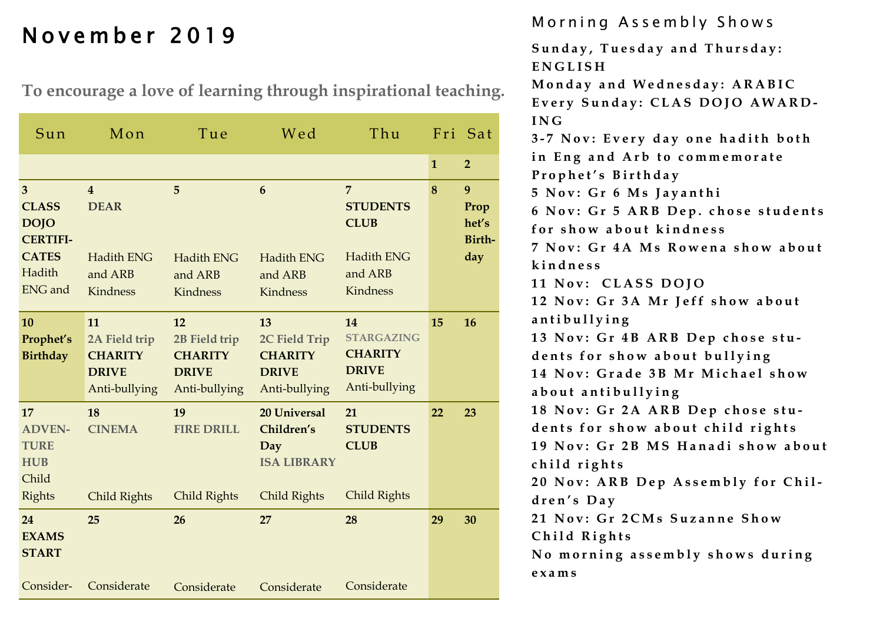**To encourage a love of learning through inspirational teaching.**

| Sun                                                                                             | Mon                                                                              | Tue                                                                    | Wed                                                                            | Thu                                                                                          |              | Fri Sat                             |
|-------------------------------------------------------------------------------------------------|----------------------------------------------------------------------------------|------------------------------------------------------------------------|--------------------------------------------------------------------------------|----------------------------------------------------------------------------------------------|--------------|-------------------------------------|
|                                                                                                 |                                                                                  |                                                                        |                                                                                |                                                                                              | $\mathbf{1}$ | $\overline{2}$                      |
| 3<br><b>CLASS</b><br><b>DOJO</b><br><b>CERTIFI-</b><br><b>CATES</b><br>Hadith<br><b>ENG</b> and | $\overline{4}$<br><b>DEAR</b><br><b>Hadith ENG</b><br>and ARB<br><b>Kindness</b> | 5<br><b>Hadith ENG</b><br>and ARB<br>Kindness                          | 6<br><b>Hadith ENG</b><br>and ARB<br>Kindness                                  | $\overline{7}$<br><b>STUDENTS</b><br><b>CLUB</b><br><b>Hadith ENG</b><br>and ARB<br>Kindness | 8            | 9<br>Prop<br>het's<br>Birth-<br>day |
| <b>10</b><br>Prophet's<br><b>Birthday</b>                                                       | 11<br>2A Field trip<br><b>CHARITY</b><br><b>DRIVE</b><br>Anti-bullying           | 12<br>2B Field trip<br><b>CHARITY</b><br><b>DRIVE</b><br>Anti-bullying | 13<br>2C Field Trip<br><b>CHARITY</b><br><b>DRIVE</b><br>Anti-bullying         | 14<br><b>STARGAZING</b><br><b>CHARITY</b><br><b>DRIVE</b><br>Anti-bullying                   | 15           | 16                                  |
| 17<br><b>ADVEN-</b><br><b>TURE</b><br><b>HUB</b><br>Child<br><b>Rights</b>                      | 18<br><b>CINEMA</b><br><b>Child Rights</b>                                       | 19<br><b>FIRE DRILL</b><br><b>Child Rights</b>                         | <b>20 Universal</b><br>Children's<br>Day<br><b>ISA LIBRARY</b><br>Child Rights | 21<br><b>STUDENTS</b><br><b>CLUB</b><br><b>Child Rights</b>                                  | 22           | 23                                  |
| 24<br><b>EXAMS</b><br><b>START</b>                                                              | 25                                                                               | 26                                                                     | 27                                                                             | 28                                                                                           | 29           | 30                                  |
| Consider-                                                                                       | Considerate                                                                      | Considerate                                                            | Considerate                                                                    | Considerate                                                                                  |              |                                     |

Morning Assembly Shows<br>
November 2019

Sunday, Tuesday and Thursday: **E N G L I S H** 

**M o n d a y a n d W e d n e s d a y : A R A B I C** Every Sunday: CLAS DOJO AWARD-**I N G**

**3 - 7 N o v : E v e r y d a y o n e h a d i t h b o t h**  in Eng and Arb to commemorate **P r o p h e t ' s B i r t h d a y**

**5 N o v : G r 6 M s J a y a n t h i**

6 Nov: Gr 5 ARB Dep. chose students for show about kindness

**7 N o v : G r 4 A M s R o w e n a s h o w a b o u t k i n d n e s s**

**11 Nov: CLASS DOJO** 

12 Nov: Gr 3A Mr Jeff show about **a n t i b u l l y i n g**

13 Nov: Gr 4B ARB Dep chose students for show about bullying 14 Nov: Grade 3B Mr Michael show

**a b o u t a n t i b u l l y i n g**

18 Nov: Gr 2A ARB Dep chose students for show about child rights 19 Nov: Gr 2B MS Hanadi show about child rights

20 Nov: ARB Dep Assembly for Chil**d r e n ' s D a y**

21 Nov: Gr 2CMs Suzanne Show Child Rights

No morning assembly shows during **e x a m s**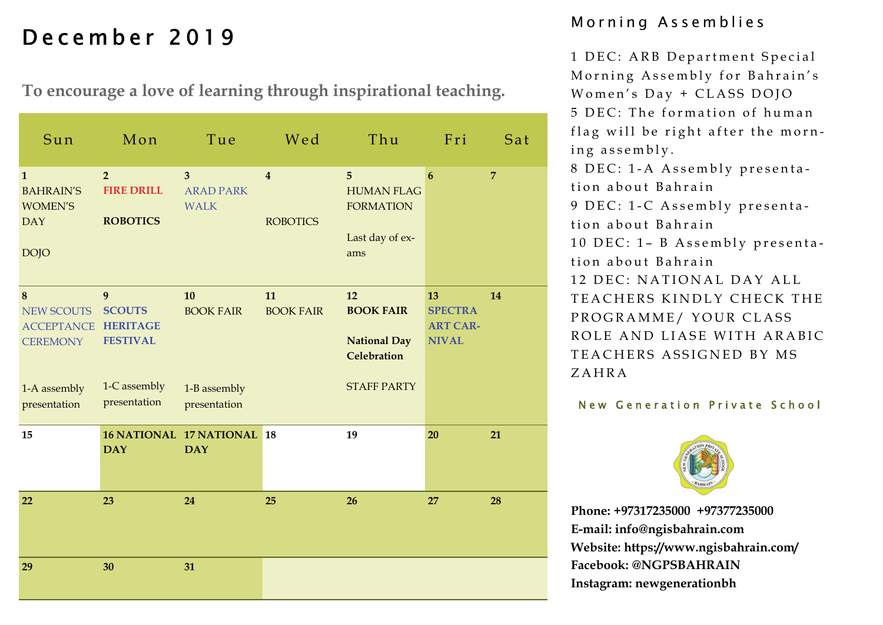# Morning Assemblies December 2019

**To encourage a love of learning through inspirational teaching.** 

| Sun                                                                             | Mon                                                                      | Tue                                                             | Wed                                        | Thu                                                                                | Fri                                                     | Sat            |
|---------------------------------------------------------------------------------|--------------------------------------------------------------------------|-----------------------------------------------------------------|--------------------------------------------|------------------------------------------------------------------------------------|---------------------------------------------------------|----------------|
| $\mathbf{1}$<br><b>BAHRAIN'S</b><br><b>WOMEN'S</b><br><b>DAY</b><br><b>DOJO</b> | $\overline{2}$<br><b>FIRE DRILL</b><br><b>ROBOTICS</b>                   | $\overline{3}$<br><b>ARAD PARK</b><br><b>WALK</b>               | $\overline{\mathbf{4}}$<br><b>ROBOTICS</b> | 5<br><b>HUMAN FLAG</b><br><b>FORMATION</b><br>Last day of ex-<br>ams               | $6\phantom{1}6$                                         | $\overline{7}$ |
| 8<br><b>NEW SCOUTS</b><br><b>ACCEPTANCE</b><br><b>CEREMONY</b><br>1-A assembly  | 9<br><b>SCOUTS</b><br><b>HERITAGE</b><br><b>FESTIVAL</b><br>1-C assembly | 10<br><b>BOOK FAIR</b><br>1-B assembly                          | 11<br><b>BOOK FAIR</b>                     | 12<br><b>BOOK FAIR</b><br><b>National Day</b><br>Celebration<br><b>STAFF PARTY</b> | 13<br><b>SPECTRA</b><br><b>ART CAR-</b><br><b>NIVAL</b> | 14             |
| presentation<br>15                                                              | presentation<br><b>DAY</b>                                               | presentation<br><b>16 NATIONAL 17 NATIONAL 18</b><br><b>DAY</b> |                                            | 19                                                                                 | 20                                                      | 21             |
| 22                                                                              | 23                                                                       | 24                                                              | 25                                         | 26                                                                                 | 27                                                      | 28             |
| 29                                                                              | 30                                                                       | 31                                                              |                                            |                                                                                    |                                                         |                |

1 DEC: ARB Department Special Morning Assembly for Bahrain's Women's Day + CLASS DOJO 5 DEC: The formation of human flag will be right after the morning assembly. 8 DEC: 1-A Assembly presentation about Bahrain 9 DEC: 1-C Assembly presentation about Bahrain 10 DEC: 1– B Assembly presentation about Bahrain 12 DEC: NATIONAL DAY ALL TEACHERS KINDLY CHECK THE PROGRAMME/ YOUR CLASS ROLE AND LIASE WITH ARABIC TEACHERS ASSIGNED BY MS ZAHRA

#### New Generation Private School

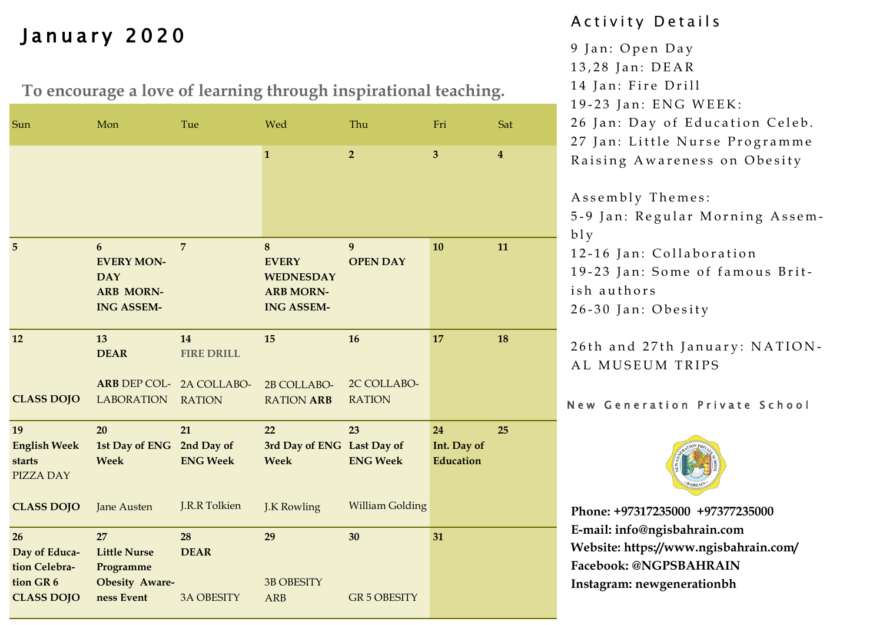# January 2020

**To encourage a love of learning through inspirational teaching.**

| Sun                                                                          | Mon                                                                                         | Tue                                                  | Wed                                                                            | Thu                                             | Fri                                   | Sat              |
|------------------------------------------------------------------------------|---------------------------------------------------------------------------------------------|------------------------------------------------------|--------------------------------------------------------------------------------|-------------------------------------------------|---------------------------------------|------------------|
|                                                                              |                                                                                             |                                                      | $\mathbf{1}$                                                                   | $\overline{2}$                                  | $\overline{\mathbf{3}}$               | $\boldsymbol{4}$ |
| 5                                                                            | $6\phantom{1}6$<br><b>EVERY MON-</b><br><b>DAY</b><br><b>ARB MORN-</b><br><b>ING ASSEM-</b> | $\overline{7}$                                       | 8<br><b>EVERY</b><br><b>WEDNESDAY</b><br><b>ARB MORN-</b><br><b>ING ASSEM-</b> | 9<br><b>OPEN DAY</b>                            | 10                                    | 11               |
| 12                                                                           | 13<br><b>DEAR</b><br>ARB DEP COL- 2A COLLABO-                                               | 14<br><b>FIRE DRILL</b>                              | 15<br>2B COLLABO-                                                              | 16<br>2C COLLABO-                               | 17                                    | 18               |
| <b>CLASS DOJO</b>                                                            | <b>LABORATION</b>                                                                           | <b>RATION</b>                                        | <b>RATION ARB</b>                                                              | <b>RATION</b>                                   |                                       |                  |
| 19<br><b>English Week</b><br>starts<br><b>PIZZA DAY</b><br><b>CLASS DOJO</b> | 20<br>1st Day of ENG<br>Week<br><b>Jane Austen</b>                                          | 21<br>2nd Day of<br><b>ENG Week</b><br>J.R.R Tolkien | 22<br>3rd Day of ENG Last Day of<br><b>Week</b><br>J.K Rowling                 | 23<br><b>ENG Week</b><br><b>William Golding</b> | 24<br>Int. Day of<br><b>Education</b> | 25               |
|                                                                              |                                                                                             |                                                      |                                                                                |                                                 |                                       |                  |
| 26<br>Day of Educa-<br>tion Celebra-<br>tion GR 6<br><b>CLASS DOJO</b>       | 27<br><b>Little Nurse</b><br>Programme<br><b>Obesity Aware-</b><br>ness Event               | 28<br><b>DEAR</b><br><b>3A OBESITY</b>               | 29<br><b>3B OBESITY</b><br><b>ARB</b>                                          | 30<br><b>GR 5 OBESITY</b>                       | 31                                    |                  |

## A c tivity Details

- 9 Jan: Open Day
- 13,28 Jan: DEAR
- 14 Jan: Fire Drill
- 19-23 Jan: ENG WEEK:
- 26 Jan: Day of Education Celeb.
- 27 Jan: Little Nurse Programme

Raising Awareness on Obesity

Assembly Themes:

5-9 Jan: Regular Morning Assem $b$ l y

12-16 Jan: Collaboration

19-23 Jan: Some of famous British authors

26-30 Jan: Obesity

26th and 27th January: NATION-AL MUSEUM TRIPS

### New Generation Private School

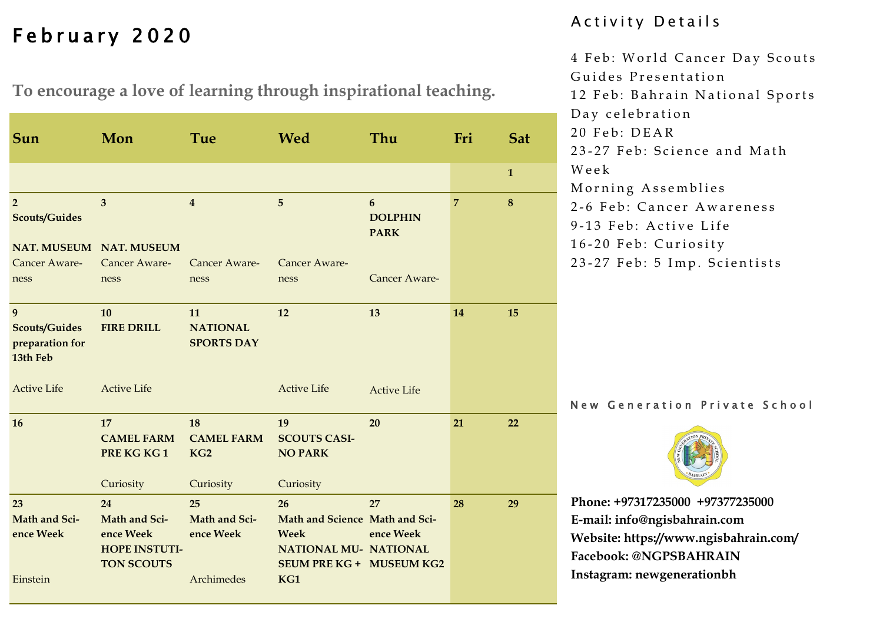# February 2020

**To encourage a love of learning through inspirational teaching.**

| Sun                                                      | Mon                                                                           | Tue                                                     | <b>Wed</b><br>Thu                                                                                                             |                                    | Fri            | <b>Sat</b>   |
|----------------------------------------------------------|-------------------------------------------------------------------------------|---------------------------------------------------------|-------------------------------------------------------------------------------------------------------------------------------|------------------------------------|----------------|--------------|
|                                                          |                                                                               |                                                         |                                                                                                                               |                                    |                | $\mathbf{1}$ |
| $\overline{2}$<br><b>Scouts/Guides</b>                   | $\overline{3}$<br>NAT. MUSEUM NAT. MUSEUM                                     | $\overline{4}$                                          | $\overline{5}$                                                                                                                | 6<br><b>DOLPHIN</b><br><b>PARK</b> | $\overline{7}$ | 8            |
| Cancer Aware-<br>ness                                    | Cancer Aware-<br>ness                                                         | Cancer Aware-<br>ness                                   | Cancer Aware-<br>ness                                                                                                         | Cancer Aware-                      |                |              |
| 9<br><b>Scouts/Guides</b><br>preparation for<br>13th Feb | 10<br><b>FIRE DRILL</b>                                                       | 11<br><b>NATIONAL</b><br><b>SPORTS DAY</b>              | 12                                                                                                                            | 13                                 | 14             | 15           |
| <b>Active Life</b>                                       | <b>Active Life</b>                                                            |                                                         | <b>Active Life</b>                                                                                                            | <b>Active Life</b>                 |                |              |
| 16                                                       | 17<br><b>CAMEL FARM</b><br>PRE KG KG1<br>Curiosity                            | 18<br><b>CAMEL FARM</b><br>KG <sub>2</sub><br>Curiosity | 19<br><b>SCOUTS CASI-</b><br><b>NO PARK</b><br>Curiosity                                                                      | 20                                 | 21             | 22           |
| 23<br>Math and Sci-<br>ence Week<br>Einstein             | 24<br>Math and Sci-<br>ence Week<br><b>HOPE INSTUTI-</b><br><b>TON SCOUTS</b> | 25<br>Math and Sci-<br>ence Week<br>Archimedes          | 26<br>Math and Science Math and Sci-<br><b>Week</b><br><b>NATIONAL MU- NATIONAL</b><br><b>SEUM PRE KG + MUSEUM KG2</b><br>KG1 | 27<br>ence Week                    | 28             | 29           |
|                                                          |                                                                               |                                                         |                                                                                                                               |                                    |                |              |

### A c t i v i t y D e t a i l s

4 Feb: World Cancer Day Scouts Guides Presentation 12 Feb: Bahrain National Sports Day celebration 20 Feb: DEAR 23-27 Feb: Science and Math W e e k Morning Assemblies 2-6 Feb: Cancer Awareness 9-13 Feb: Active Life 16-20 Feb: Curiosity 23-27 Feb: 5 Imp. Scientists

New Generation Private School